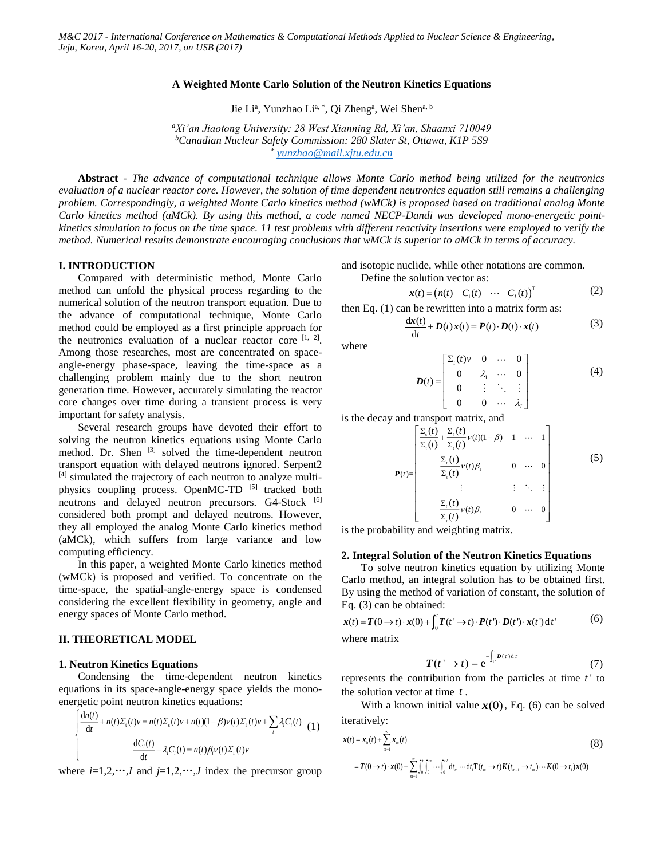### **A Weighted Monte Carlo Solution of the Neutron Kinetics Equations**

Jie Li<sup>a</sup>, Yunzhao Li<sup>a, \*</sup>, Qi Zheng<sup>a</sup>, Wei Shen<sup>a, b</sup>

*<sup>a</sup>Xi'an Jiaotong University: 28 West Xianning Rd, Xi'an, Shaanxi 710049 <sup>b</sup>Canadian Nuclear Safety Commission: 280 Slater St, Ottawa, K1P 5S9 \* [yunzhao@mail.xjtu.edu.cn](mailto:yunzhao@mail.xjtu.edu.cn)*

**Abstract** - *The advance of computational technique allows Monte Carlo method being utilized for the neutronics evaluation of a nuclear reactor core. However, the solution of time dependent neutronics equation still remains a challenging problem. Correspondingly, a weighted Monte Carlo kinetics method (wMCk) is proposed based on traditional analog Monte Carlo kinetics method (aMCk). By using this method, a code named NECP-Dandi was developed mono-energetic pointkinetics simulation to focus on the time space. 11 test problems with different reactivity insertions were employed to verify the method. Numerical results demonstrate encouraging conclusions that wMCk is superior to aMCk in terms of accuracy.*

### **I. INTRODUCTION**

Compared with deterministic method, Monte Carlo method can unfold the physical process regarding to the numerical solution of the neutron transport equation. Due to the advance of computational technique, Monte Carlo method could be employed as a first principle approach for the neutronics evaluation of a nuclear reactor core  $[1, 2]$  $[1, 2]$ . Among those researches, most are concentrated on spaceangle-energy phase-space, leaving the time-space as a challenging problem mainly due to the short neutron generation time. However, accurately simulating the reactor core changes over time during a transient process is very important for safety analysis.

Several research groups have devoted their effort to solving the neutron kinetics equations using Monte Carlo method. Dr. Shen <sup>[\[3\]](#page-4-1)</sup> solved the time-dependent neutron transport equation with delayed neutrons ignored. Serpent2 [\[4\]](#page-4-2) simulated the trajectory of each neutron to analyze multiphysics coupling process. OpenMC-TD [5] tracked both neutrons and delayed neutron precursors. G4-Stock [\[6\]](#page-4-3) considered both prompt and delayed neutrons. However, they all employed the analog Monte Carlo kinetics method (aMCk), which suffers from large variance and low computing efficiency.

In this paper, a weighted Monte Carlo kinetics method (wMCk) is proposed and verified. To concentrate on the time-space, the spatial-angle-energy space is condensed considering the excellent flexibility in geometry, angle and energy spaces of Monte Carlo method.

# **II. THEORETICAL MODEL**

#### **1. Neutron Kinetics Equations**

ſ۰

L ∤

Condensing the time-dependent neutron kinetics equations in its space-angle-energy space yields the monoenergetic point neutron kinetics equations:

$$
\frac{dn(t)}{dt} + n(t)\Sigma_t(t)v = n(t)\Sigma_s(t)v + n(t)(1-\beta)v(t)\Sigma_t(t)v + \sum_i \lambda_i C_i(t)
$$
\n
$$
\frac{dC_i(t)}{dt} + \lambda_i C_i(t) = n(t)\beta_i v(t)\Sigma_t(t)v
$$
\n(1)

where  $i=1,2,\dots, I$  and  $j=1,2,\dots, J$  index the precursor group

and isotopic nuclide, while other notations are common. Define the solution vector as:

$$
\mathbf{x}(t) = (n(t) \quad C_1(t) \quad \cdots \quad C_t(t))^T \tag{2}
$$

then Eq. (1) can be rewritten into a matrix form as:

$$
\frac{d\mathbf{x}(t)}{dt} + \mathbf{D}(t)\mathbf{x}(t) = \mathbf{P}(t)\cdot\mathbf{D}(t)\cdot\mathbf{x}(t)
$$
\n(3)

where

$$
D(t) = \begin{bmatrix} \Sigma_{r}(t)v & 0 & \cdots & 0 \\ 0 & \lambda_{1} & \cdots & 0 \\ 0 & \vdots & \ddots & \vdots \\ 0 & 0 & \cdots & \lambda_{1} \end{bmatrix}
$$
 (4)

is the decay and transport matrix, and

$$
\boldsymbol{P}(t) = \begin{bmatrix} \frac{\sum_{s}(t)}{\sum_{i}(t)} + \frac{\sum_{i}(t)}{\sum_{i}(t)} \nu(t)(1-\beta) & 1 & \cdots & 1\\ \frac{\sum_{i}(t)}{\sum_{i}(t)} \nu(t)\beta_{i} & 0 & \cdots & 0\\ \vdots & \vdots & \vdots & \ddots & \vdots\\ \frac{\sum_{i}(t)}{\sum_{i}(t)} \nu(t)\beta_{i} & 0 & \cdots & 0 \end{bmatrix}
$$
(5)

is the probability and weighting matrix.

#### **2. Integral Solution of the Neutron Kinetics Equations**

To solve neutron kinetics equation by utilizing Monte Carlo method, an integral solution has to be obtained first. By using the method of variation of constant, the solution of Eq. (3) can be obtained:

$$
\mathbf{x}(t) = \mathbf{T}(0 \to t) \cdot \mathbf{x}(0) + \int_0^t \mathbf{T}(t' \to t) \cdot \mathbf{P}(t') \cdot \mathbf{D}(t') \cdot \mathbf{x}(t') dt' \tag{6}
$$

where matrix

$$
T(t' \to t) = e^{-\int_{t'}^{t} D(\tau) d\tau}
$$
 (7)

represents the contribution from the particles at time  $t'$  to the solution vector at time *t* .

With a known initial value  $x(0)$ , Eq. (6) can be solved iteratively:

$$
\mathbf{x}(t) = \mathbf{x}_0(t) + \sum_{m=1}^{\infty} \mathbf{x}_m(t)
$$
\n
$$
= T(0 \to t) \cdot \mathbf{x}(0) + \sum_{m=1}^{\infty} \int_0^t \int_0^{tm} \cdots \int_0^{t^2} dt_m \cdots dt_i T(t_m \to t) K(t_{m-1} \to t_m) \cdots K(0 \to t_i) \mathbf{x}(0)
$$
\n(8)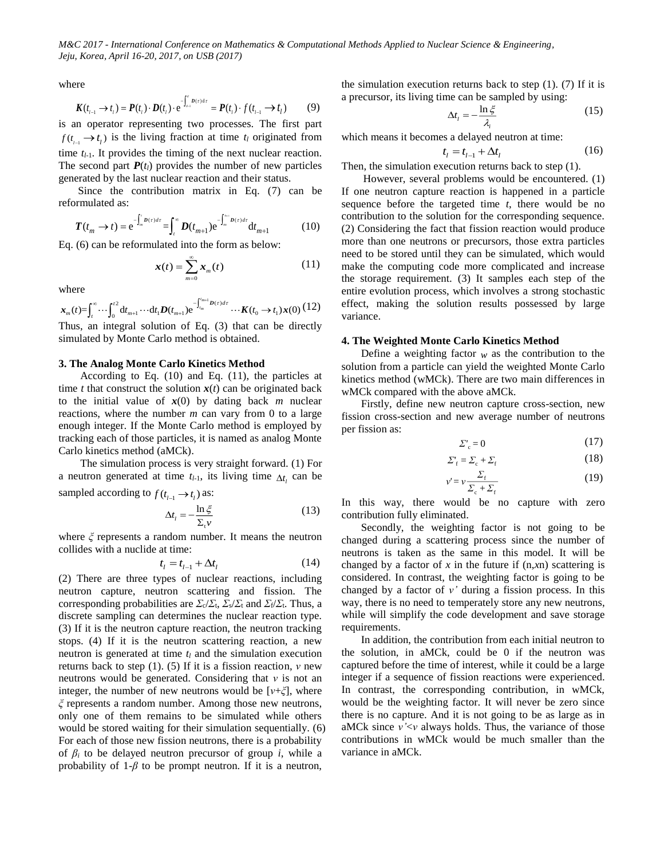where

$$
\mathbf{K}(t_{l-1} \to t_l) = \mathbf{P}(t_l) \cdot \mathbf{D}(t_l) \cdot e^{-\int_{t-1}^{t} D(t) dt} = \mathbf{P}(t_l) \cdot f(t_{l-1} \to t_l)
$$
(9)

is an operator representing two processes. The first part  $f(t_{i-1} \rightarrow t_i)$  is the living fraction at time  $t_i$  originated from time  $t_{l-1}$ . It provides the timing of the next nuclear reaction. The second part  $P(t_l)$  provides the number of new particles generated by the last nuclear reaction and their status.

Since the contribution matrix in Eq. (7) can be reformulated as:

$$
T(t_m \to t) = e^{-\int_m^t D(t)dt} = \int_t^{\infty} D(t_{m+1}) e^{-\int_m^{\infty} D(t)dt} dt_{m+1}
$$
 (10)

Eq. (6) can be reformulated into the form as below:

$$
\boldsymbol{x}(t) = \sum_{m=0}^{\infty} \boldsymbol{x}_m(t) \tag{11}
$$

where

$$
\mathbf{x}_{m}(t) = \int_{t}^{\infty} \cdots \int_{0}^{t^{2}} \mathrm{d}t_{m+1} \cdots \mathrm{d}t_{1} \mathbf{D}(t_{m+1}) e^{-\int_{t_{m}}^{t_{m+1}} \mathbf{D}(\tau) d\tau} \cdots \mathbf{K}(t_{0} \to t_{1}) \mathbf{x}(0) \tag{12}
$$

Thus, an integral solution of Eq. (3) that can be directly simulated by Monte Carlo method is obtained.

## **3. The Analog Monte Carlo Kinetics Method**

According to Eq. (10) and Eq. (11), the particles at time *t* that construct the solution  $x(t)$  can be originated back to the initial value of  $x(0)$  by dating back *m* nuclear reactions, where the number *m* can vary from 0 to a large enough integer. If the Monte Carlo method is employed by tracking each of those particles, it is named as analog Monte Carlo kinetics method (aMCk).

The simulation process is very straight forward. (1) For a neutron generated at time  $t_{l-1}$ , its living time  $\Delta t_l$  can be sampled according to  $f(t_{l-1} \rightarrow t_l)$  as:

$$
\Delta t_l = -\frac{\ln \xi}{\Sigma_l \nu} \tag{13}
$$

where *ξ* represents a random number. It means the neutron collides with a nuclide at time:

$$
t_{l} = t_{l-1} + \Delta t_{l} \tag{14}
$$

(2) There are three types of nuclear reactions, including neutron capture, neutron scattering and fission. The corresponding probabilities are  $\sum_{c}$ / $\sum_{t}$ ,  $\sum_{s}$ / $\sum_{t}$  and  $\sum_{t}$ / $\sum_{t}$ . Thus, a discrete sampling can determines the nuclear reaction type. (3) If it is the neutron capture reaction, the neutron tracking stops. (4) If it is the neutron scattering reaction, a new neutron is generated at time *t<sup>l</sup>* and the simulation execution returns back to step (1). (5) If it is a fission reaction, *ν* new neutrons would be generated. Considering that *ν* is not an integer, the number of new neutrons would be [*ν*+*ξ*], where *ξ* represents a random number. Among those new neutrons, only one of them remains to be simulated while others would be stored waiting for their simulation sequentially. (6) For each of those new fission neutrons, there is a probability of *β<sup>i</sup>* to be delayed neutron precursor of group *i*, while a probability of  $1-\beta$  to be prompt neutron. If it is a neutron,

the simulation execution returns back to step  $(1)$ .  $(7)$  If it is a precursor, its living time can be sampled by using:

$$
\Delta t_i = -\frac{\ln \xi}{\lambda_i} \tag{15}
$$

which means it becomes a delayed neutron at time:

$$
t_l = t_{l-1} + \Delta t_l \tag{16}
$$

Then, the simulation execution returns back to step (1).

However, several problems would be encountered. (1) If one neutron capture reaction is happened in a particle sequence before the targeted time *t*, there would be no contribution to the solution for the corresponding sequence. (2) Considering the fact that fission reaction would produce more than one neutrons or precursors, those extra particles need to be stored until they can be simulated, which would make the computing code more complicated and increase the storage requirement. (3) It samples each step of the entire evolution process, which involves a strong stochastic effect, making the solution results possessed by large variance.

### **4. The Weighted Monte Carlo Kinetics Method**

Define a weighting factor  $w$  as the contribution to the solution from a particle can yield the weighted Monte Carlo kinetics method (wMCk). There are two main differences in wMCk compared with the above aMCk.

Firstly, define new neutron capture cross-section, new fission cross-section and new average number of neutrons per fission as:

$$
\Sigma_c = 0 \tag{17}
$$

$$
\Sigma'_{\rm f} = \Sigma_{\rm c} + \Sigma_{\rm f} \tag{18}
$$

$$
v' = v \frac{\Sigma_{\rm f}}{\Sigma_{\rm c} + \Sigma_{\rm f}} \tag{19}
$$

In this way, there would be no capture with zero contribution fully eliminated.

Secondly, the weighting factor is not going to be changed during a scattering process since the number of neutrons is taken as the same in this model. It will be changed by a factor of  $x$  in the future if  $(n, xn)$  scattering is considered. In contrast, the weighting factor is going to be changed by a factor of *ν'* during a fission process. In this way, there is no need to temperately store any new neutrons, while will simplify the code development and save storage requirements.

In addition, the contribution from each initial neutron to the solution, in aMCk, could be 0 if the neutron was captured before the time of interest, while it could be a large integer if a sequence of fission reactions were experienced. In contrast, the corresponding contribution, in wMCk, would be the weighting factor. It will never be zero since there is no capture. And it is not going to be as large as in aMCk since *ν'*<*ν* always holds. Thus, the variance of those contributions in wMCk would be much smaller than the variance in aMCk.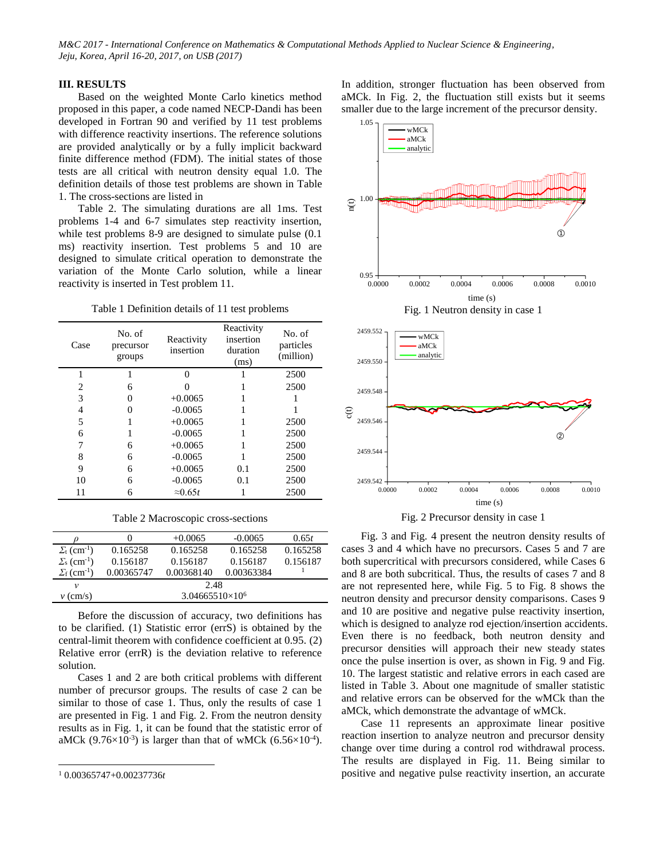# **III. RESULTS**

Based on the weighted Monte Carlo kinetics method proposed in this paper, a code named NECP-Dandi has been developed in Fortran 90 and verified by 11 test problems with difference reactivity insertions. The reference solutions are provided analytically or by a fully implicit backward finite difference method (FDM). The initial states of those tests are all critical with neutron density equal 1.0. The definition details of those test problems are shown in [Table](#page-2-0)  [1.](#page-2-0) The cross-sections are listed in

[Table 2.](#page-2-1) The simulating durations are all 1ms. Test problems 1-4 and 6-7 simulates step reactivity insertion, while test problems 8-9 are designed to simulate pulse  $(0.1)$ ms) reactivity insertion. Test problems 5 and 10 are designed to simulate critical operation to demonstrate the variation of the Monte Carlo solution, while a linear reactivity is inserted in Test problem 11.

Table 1 Definition details of 11 test problems

<span id="page-2-0"></span>

| Case | No. of<br>precursor<br>groups | Reactivity<br>insertion | Reactivity<br>insertion<br>duration<br>(ms) | No. of<br>particles<br>(million) |
|------|-------------------------------|-------------------------|---------------------------------------------|----------------------------------|
|      |                               | 0                       |                                             | 2500                             |
| 2    | 6                             |                         |                                             | 2500                             |
| 3    | $\mathbf{\Omega}$             | $+0.0065$               |                                             |                                  |
| 4    | 0                             | $-0.0065$               |                                             |                                  |
| 5    |                               | $+0.0065$               |                                             | 2500                             |
| 6    |                               | $-0.0065$               |                                             | 2500                             |
| 7    | 6                             | $+0.0065$               |                                             | 2500                             |
| 8    | 6                             | $-0.0065$               |                                             | 2500                             |
| 9    | 6                             | $+0.0065$               | 0.1                                         | 2500                             |
| 10   | 6                             | $-0.0065$               | 0.1                                         | 2500                             |
| 11   | 6                             | $\approx 0.65t$         |                                             | 2500                             |

Table 2 Macroscopic cross-sections

<span id="page-2-1"></span>

|                                      |                          | $+0.0065$  | $-0.0065$  | 0.65t    |  |
|--------------------------------------|--------------------------|------------|------------|----------|--|
| $\Sigma_{\rm t}$ (cm <sup>-1</sup> ) | 0.165258                 | 0.165258   | 0.165258   | 0.165258 |  |
| $\Sigma_{\rm s}$ (cm <sup>-1</sup> ) | 0.156187                 | 0.156187   | 0.156187   | 0.156187 |  |
| $\Sigma_{\rm f}$ (cm <sup>-1</sup> ) | 0.00365747               | 0.00368140 | 0.00363384 |          |  |
| ν                                    | 2.48                     |            |            |          |  |
| $v$ (cm/s)                           | $3.04665510\times10^{6}$ |            |            |          |  |

Before the discussion of accuracy, two definitions has to be clarified. (1) Statistic error (errS) is obtained by the central-limit theorem with confidence coefficient at 0.95. (2) Relative error (errR) is the deviation relative to reference solution.

Cases 1 and 2 are both critical problems with different number of precursor groups. The results of case 2 can be similar to those of case 1. Thus, only the results of case 1 are presented in [Fig.](#page-2-2) 1 and [Fig.](#page-2-3) 2. From the neutron density results as in [Fig.](#page-2-2) 1, it can be found that the statistic error of aMCk  $(9.76\times10^{-3})$  is larger than that of wMCk  $(6.56\times10^{-4})$ .

 $\overline{a}$ 

In addition, stronger fluctuation has been observed from aMCk. In [Fig.](#page-2-3) 2, the fluctuation still exists but it seems smaller due to the large increment of the precursor density.

<span id="page-2-2"></span>

<span id="page-2-3"></span>[Fig.](#page-3-0) 3 and [Fig.](#page-3-1) 4 present the neutron density results of cases 3 and 4 which have no precursors. Cases 5 and 7 are both supercritical with precursors considered, while Cases 6 and 8 are both subcritical. Thus, the results of cases 7 and 8 are not represented here, while Fig. 5 to Fig. 8 shows the neutron density and precursor density comparisons. Cases 9 and 10 are positive and negative pulse reactivity insertion, which is designed to analyze rod ejection/insertion accidents. Even there is no feedback, both neutron density and precursor densities will approach their new steady states once the pulse insertion is over, as shown in [Fig.](#page-4-4) 9 and [Fig.](#page-4-5) [10.](#page-4-5) The largest statistic and relative errors in each cased are listed in [Table 3.](#page-4-6) About one magnitude of smaller statistic and relative errors can be observed for the wMCk than the aMCk, which demonstrate the advantage of wMCk.

Case 11 represents an approximate linear positive reaction insertion to analyze neutron and precursor density change over time during a control rod withdrawal process. The results are displayed in [Fig.](#page-4-7) 11. Being similar to positive and negative pulse reactivity insertion, an accurate

<sup>1</sup> 0.00365747+0.00237736*t*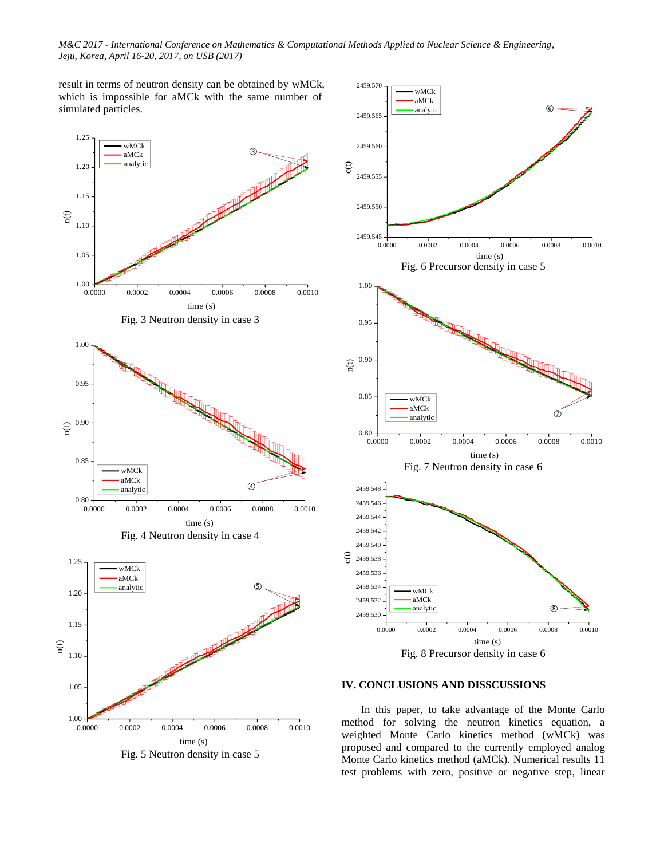result in terms of neutron density can be obtained by wMCk, which is impossible for aMCk with the same number of simulated particles.

<span id="page-3-0"></span>

<span id="page-3-1"></span>Fig. 5 Neutron density in case 5



### **IV. CONCLUSIONS AND DISSCUSSIONS**

In this paper, to take advantage of the Monte Carlo method for solving the neutron kinetics equation, a weighted Monte Carlo kinetics method (wMCk) was proposed and compared to the currently employed analog Monte Carlo kinetics method (aMCk). Numerical results 11 test problems with zero, positive or negative step, linear